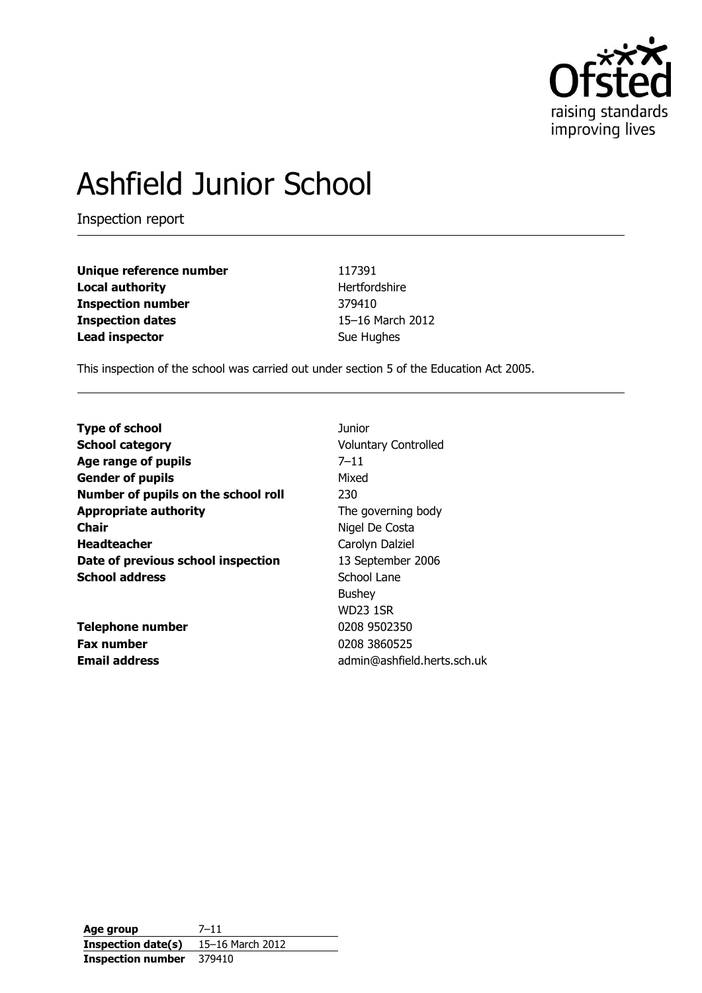

# Ashfield Junior School

Inspection report

| Unique reference number  | 117391           |  |
|--------------------------|------------------|--|
| Local authority          | Hertfordshire    |  |
| <b>Inspection number</b> | 379410           |  |
| <b>Inspection dates</b>  | 15-16 March 2012 |  |
| Lead inspector           | Sue Hughes       |  |

This inspection of the school was carried out under section 5 of the Education Act 2005.

| <b>Type of school</b>               | Junior                      |  |
|-------------------------------------|-----------------------------|--|
| <b>School category</b>              | <b>Voluntary Controlled</b> |  |
| Age range of pupils                 | $7 - 11$                    |  |
| <b>Gender of pupils</b>             | Mixed                       |  |
| Number of pupils on the school roll | 230                         |  |
| <b>Appropriate authority</b>        | The governing body          |  |
| <b>Chair</b>                        | Nigel De Costa              |  |
| <b>Headteacher</b>                  | Carolyn Dalziel             |  |
| Date of previous school inspection  | 13 September 2006           |  |
| <b>School address</b>               | School Lane                 |  |
|                                     | <b>Bushey</b>               |  |
|                                     | <b>WD23 1SR</b>             |  |
| <b>Telephone number</b>             | 0208 9502350                |  |
| <b>Fax number</b>                   | 0208 3860525                |  |
| <b>Email address</b>                | admin@ashfield.herts.sch.uk |  |

**Age group** 7–11 **Inspection date(s)** 15–16 March 2012 **Inspection number** 379410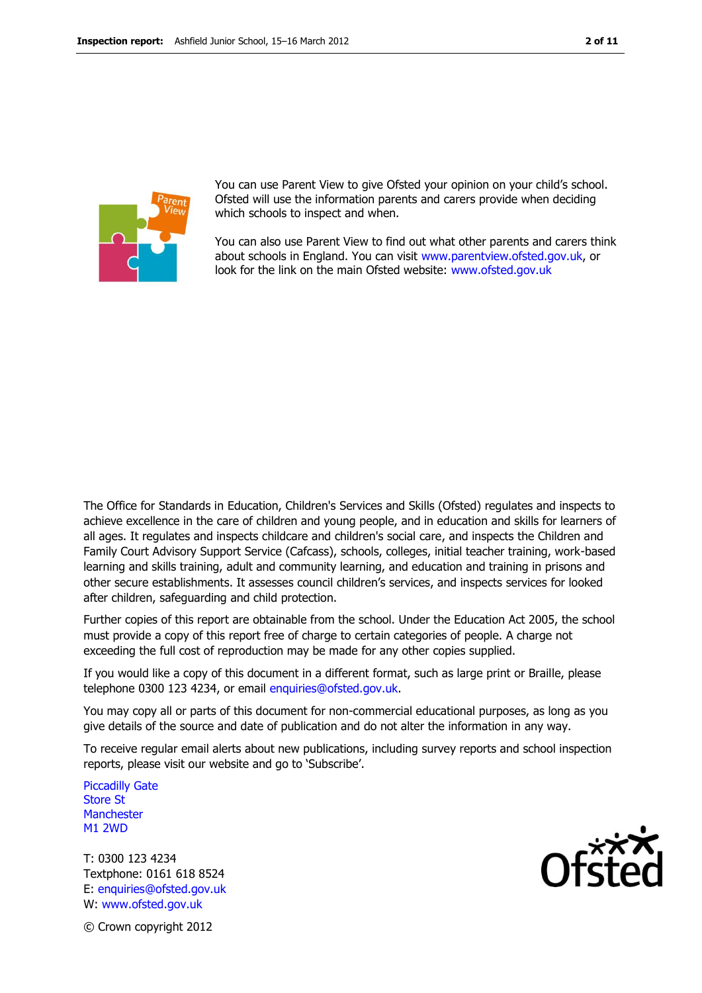

You can use Parent View to give Ofsted your opinion on your child's school. Ofsted will use the information parents and carers provide when deciding which schools to inspect and when.

You can also use Parent View to find out what other parents and carers think about schools in England. You can visit [www.parentview.ofsted.gov.uk,](http://www.parentview.ofsted.gov.uk/) or look for the link on the main Ofsted website: [www.ofsted.gov.uk](http://www.ofsted.gov.uk/)

The Office for Standards in Education, Children's Services and Skills (Ofsted) regulates and inspects to achieve excellence in the care of children and young people, and in education and skills for learners of all ages. It regulates and inspects childcare and children's social care, and inspects the Children and Family Court Advisory Support Service (Cafcass), schools, colleges, initial teacher training, work-based learning and skills training, adult and community learning, and education and training in prisons and other secure establishments. It assesses council children's services, and inspects services for looked after children, safeguarding and child protection.

Further copies of this report are obtainable from the school. Under the Education Act 2005, the school must provide a copy of this report free of charge to certain categories of people. A charge not exceeding the full cost of reproduction may be made for any other copies supplied.

If you would like a copy of this document in a different format, such as large print or Braille, please telephone 0300 123 4234, or email enquiries@ofsted.gov.uk.

You may copy all or parts of this document for non-commercial educational purposes, as long as you give details of the source and date of publication and do not alter the information in any way.

To receive regular email alerts about new publications, including survey reports and school inspection reports, please visit our website and go to 'Subscribe'.

Piccadilly Gate Store St **Manchester** M1 2WD

T: 0300 123 4234 Textphone: 0161 618 8524 E: enquiries@ofsted.gov.uk W: www.ofsted.gov.uk



© Crown copyright 2012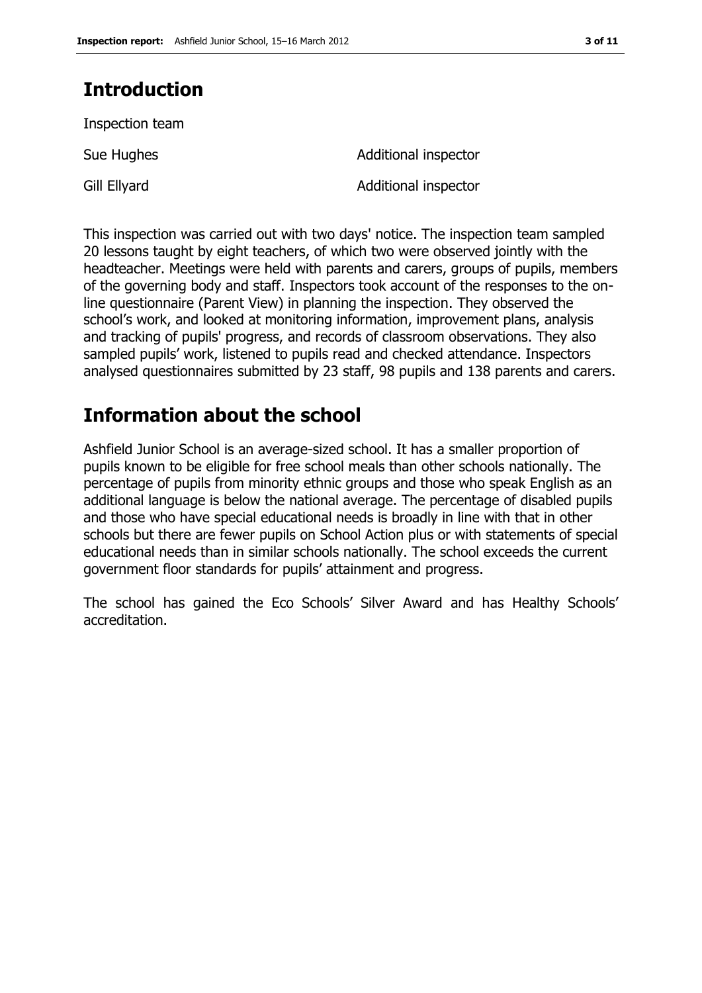## **Introduction**

Inspection team

Sue Hughes **Additional** inspector Gill Ellyard **Additional inspector** 

This inspection was carried out with two days' notice. The inspection team sampled 20 lessons taught by eight teachers, of which two were observed jointly with the headteacher. Meetings were held with parents and carers, groups of pupils, members of the governing body and staff. Inspectors took account of the responses to the online questionnaire (Parent View) in planning the inspection. They observed the school's work, and looked at monitoring information, improvement plans, analysis and tracking of pupils' progress, and records of classroom observations. They also sampled pupils' work, listened to pupils read and checked attendance. Inspectors analysed questionnaires submitted by 23 staff, 98 pupils and 138 parents and carers.

### **Information about the school**

Ashfield Junior School is an average-sized school. It has a smaller proportion of pupils known to be eligible for free school meals than other schools nationally. The percentage of pupils from minority ethnic groups and those who speak English as an additional language is below the national average. The percentage of disabled pupils and those who have special educational needs is broadly in line with that in other schools but there are fewer pupils on School Action plus or with statements of special educational needs than in similar schools nationally. The school exceeds the current government floor standards for pupils' attainment and progress.

The school has gained the Eco Schools' Silver Award and has Healthy Schools' accreditation.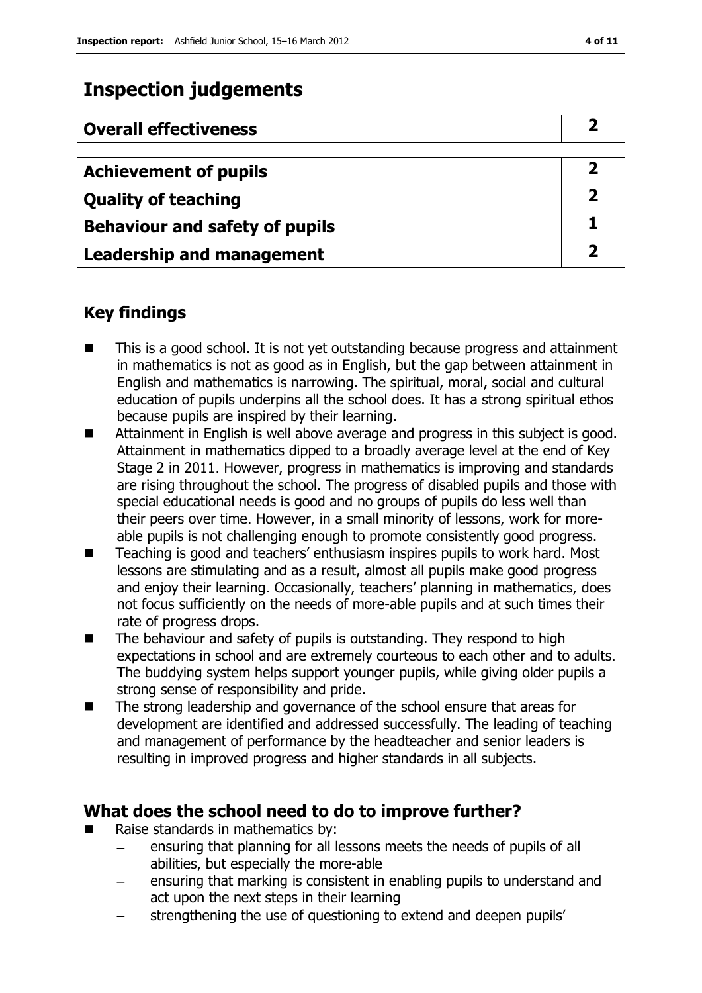### **Inspection judgements**

| <b>Overall effectiveness</b>          |  |
|---------------------------------------|--|
|                                       |  |
| <b>Achievement of pupils</b>          |  |
| <b>Quality of teaching</b>            |  |
| <b>Behaviour and safety of pupils</b> |  |
| <b>Leadership and management</b>      |  |

### **Key findings**

- This is a good school. It is not yet outstanding because progress and attainment in mathematics is not as good as in English, but the gap between attainment in English and mathematics is narrowing. The spiritual, moral, social and cultural education of pupils underpins all the school does. It has a strong spiritual ethos because pupils are inspired by their learning.
- Attainment in English is well above average and progress in this subject is good. Attainment in mathematics dipped to a broadly average level at the end of Key Stage 2 in 2011. However, progress in mathematics is improving and standards are rising throughout the school. The progress of disabled pupils and those with special educational needs is good and no groups of pupils do less well than their peers over time. However, in a small minority of lessons, work for moreable pupils is not challenging enough to promote consistently good progress.
- Teaching is good and teachers' enthusiasm inspires pupils to work hard. Most lessons are stimulating and as a result, almost all pupils make good progress and enjoy their learning. Occasionally, teachers' planning in mathematics, does not focus sufficiently on the needs of more-able pupils and at such times their rate of progress drops.
- The behaviour and safety of pupils is outstanding. They respond to high expectations in school and are extremely courteous to each other and to adults. The buddying system helps support younger pupils, while giving older pupils a strong sense of responsibility and pride.
- The strong leadership and governance of the school ensure that areas for development are identified and addressed successfully. The leading of teaching and management of performance by the headteacher and senior leaders is resulting in improved progress and higher standards in all subjects.

### **What does the school need to do to improve further?**

- Raise standards in mathematics by:
	- ensuring that planning for all lessons meets the needs of pupils of all abilities, but especially the more-able
	- ensuring that marking is consistent in enabling pupils to understand and act upon the next steps in their learning
	- strengthening the use of questioning to extend and deepen pupils'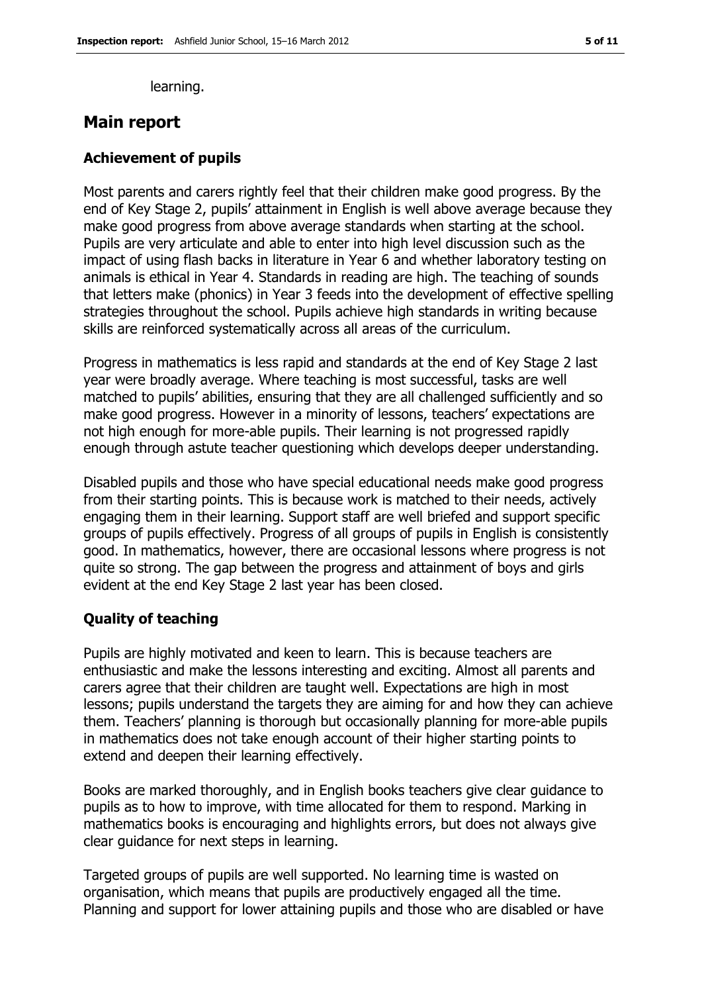learning.

### **Main report**

#### **Achievement of pupils**

Most parents and carers rightly feel that their children make good progress. By the end of Key Stage 2, pupils' attainment in English is well above average because they make good progress from above average standards when starting at the school. Pupils are very articulate and able to enter into high level discussion such as the impact of using flash backs in literature in Year 6 and whether laboratory testing on animals is ethical in Year 4. Standards in reading are high. The teaching of sounds that letters make (phonics) in Year 3 feeds into the development of effective spelling strategies throughout the school. Pupils achieve high standards in writing because skills are reinforced systematically across all areas of the curriculum.

Progress in mathematics is less rapid and standards at the end of Key Stage 2 last year were broadly average. Where teaching is most successful, tasks are well matched to pupils' abilities, ensuring that they are all challenged sufficiently and so make good progress. However in a minority of lessons, teachers' expectations are not high enough for more-able pupils. Their learning is not progressed rapidly enough through astute teacher questioning which develops deeper understanding.

Disabled pupils and those who have special educational needs make good progress from their starting points. This is because work is matched to their needs, actively engaging them in their learning. Support staff are well briefed and support specific groups of pupils effectively. Progress of all groups of pupils in English is consistently good. In mathematics, however, there are occasional lessons where progress is not quite so strong. The gap between the progress and attainment of boys and girls evident at the end Key Stage 2 last year has been closed.

#### **Quality of teaching**

Pupils are highly motivated and keen to learn. This is because teachers are enthusiastic and make the lessons interesting and exciting. Almost all parents and carers agree that their children are taught well. Expectations are high in most lessons; pupils understand the targets they are aiming for and how they can achieve them. Teachers' planning is thorough but occasionally planning for more-able pupils in mathematics does not take enough account of their higher starting points to extend and deepen their learning effectively.

Books are marked thoroughly, and in English books teachers give clear guidance to pupils as to how to improve, with time allocated for them to respond. Marking in mathematics books is encouraging and highlights errors, but does not always give clear guidance for next steps in learning.

Targeted groups of pupils are well supported. No learning time is wasted on organisation, which means that pupils are productively engaged all the time. Planning and support for lower attaining pupils and those who are disabled or have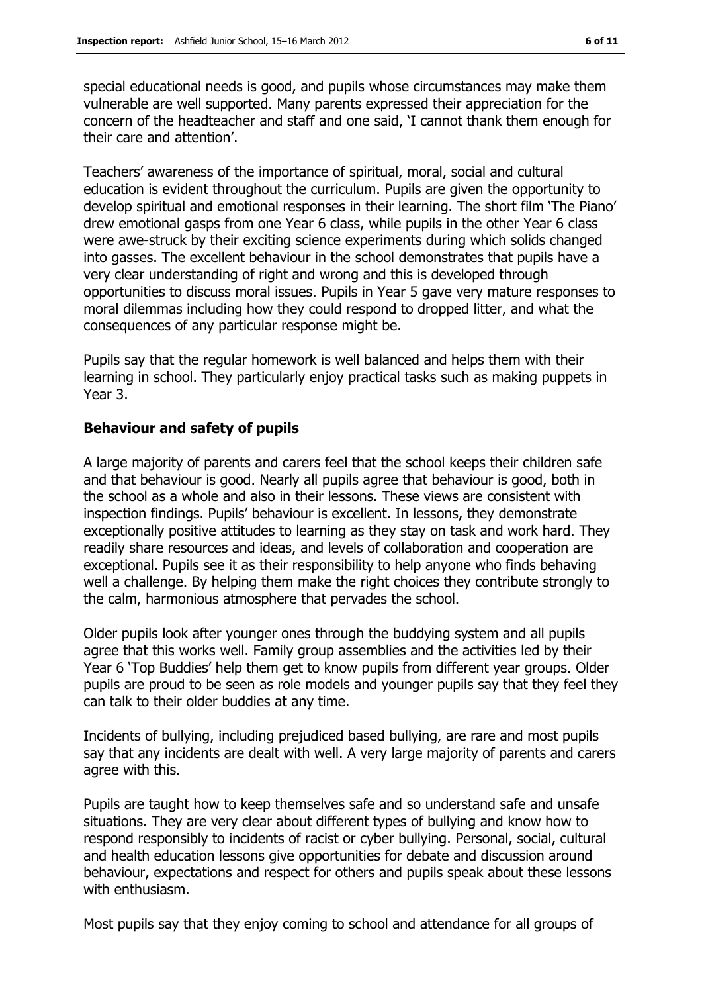special educational needs is good, and pupils whose circumstances may make them vulnerable are well supported. Many parents expressed their appreciation for the concern of the headteacher and staff and one said, 'I cannot thank them enough for their care and attention'.

Teachers' awareness of the importance of spiritual, moral, social and cultural education is evident throughout the curriculum. Pupils are given the opportunity to develop spiritual and emotional responses in their learning. The short film 'The Piano' drew emotional gasps from one Year 6 class, while pupils in the other Year 6 class were awe-struck by their exciting science experiments during which solids changed into gasses. The excellent behaviour in the school demonstrates that pupils have a very clear understanding of right and wrong and this is developed through opportunities to discuss moral issues. Pupils in Year 5 gave very mature responses to moral dilemmas including how they could respond to dropped litter, and what the consequences of any particular response might be.

Pupils say that the regular homework is well balanced and helps them with their learning in school. They particularly enjoy practical tasks such as making puppets in Year 3.

#### **Behaviour and safety of pupils**

A large majority of parents and carers feel that the school keeps their children safe and that behaviour is good. Nearly all pupils agree that behaviour is good, both in the school as a whole and also in their lessons. These views are consistent with inspection findings. Pupils' behaviour is excellent. In lessons, they demonstrate exceptionally positive attitudes to learning as they stay on task and work hard. They readily share resources and ideas, and levels of collaboration and cooperation are exceptional. Pupils see it as their responsibility to help anyone who finds behaving well a challenge. By helping them make the right choices they contribute strongly to the calm, harmonious atmosphere that pervades the school.

Older pupils look after younger ones through the buddying system and all pupils agree that this works well. Family group assemblies and the activities led by their Year 6 'Top Buddies' help them get to know pupils from different year groups. Older pupils are proud to be seen as role models and younger pupils say that they feel they can talk to their older buddies at any time.

Incidents of bullying, including prejudiced based bullying, are rare and most pupils say that any incidents are dealt with well. A very large majority of parents and carers agree with this.

Pupils are taught how to keep themselves safe and so understand safe and unsafe situations. They are very clear about different types of bullying and know how to respond responsibly to incidents of racist or cyber bullying. Personal, social, cultural and health education lessons give opportunities for debate and discussion around behaviour, expectations and respect for others and pupils speak about these lessons with enthusiasm.

Most pupils say that they enjoy coming to school and attendance for all groups of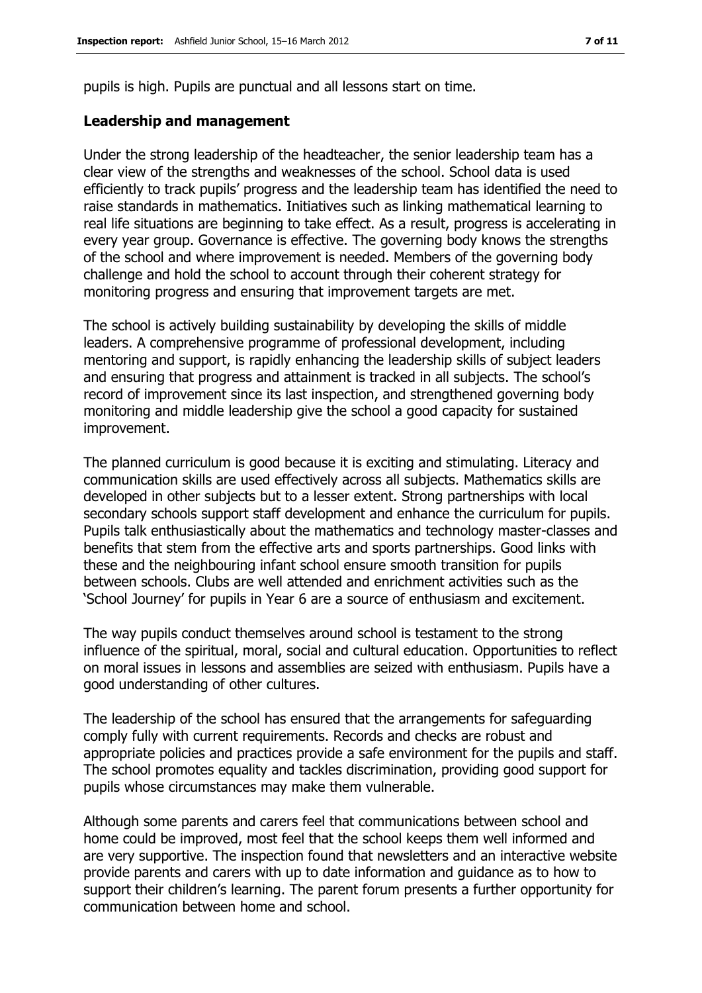pupils is high. Pupils are punctual and all lessons start on time.

#### **Leadership and management**

Under the strong leadership of the headteacher, the senior leadership team has a clear view of the strengths and weaknesses of the school. School data is used efficiently to track pupils' progress and the leadership team has identified the need to raise standards in mathematics. Initiatives such as linking mathematical learning to real life situations are beginning to take effect. As a result, progress is accelerating in every year group. Governance is effective. The governing body knows the strengths of the school and where improvement is needed. Members of the governing body challenge and hold the school to account through their coherent strategy for monitoring progress and ensuring that improvement targets are met.

The school is actively building sustainability by developing the skills of middle leaders. A comprehensive programme of professional development, including mentoring and support, is rapidly enhancing the leadership skills of subject leaders and ensuring that progress and attainment is tracked in all subjects. The school's record of improvement since its last inspection, and strengthened governing body monitoring and middle leadership give the school a good capacity for sustained improvement.

The planned curriculum is good because it is exciting and stimulating. Literacy and communication skills are used effectively across all subjects. Mathematics skills are developed in other subjects but to a lesser extent. Strong partnerships with local secondary schools support staff development and enhance the curriculum for pupils. Pupils talk enthusiastically about the mathematics and technology master-classes and benefits that stem from the effective arts and sports partnerships. Good links with these and the neighbouring infant school ensure smooth transition for pupils between schools. Clubs are well attended and enrichment activities such as the 'School Journey' for pupils in Year 6 are a source of enthusiasm and excitement.

The way pupils conduct themselves around school is testament to the strong influence of the spiritual, moral, social and cultural education. Opportunities to reflect on moral issues in lessons and assemblies are seized with enthusiasm. Pupils have a good understanding of other cultures.

The leadership of the school has ensured that the arrangements for safeguarding comply fully with current requirements. Records and checks are robust and appropriate policies and practices provide a safe environment for the pupils and staff. The school promotes equality and tackles discrimination, providing good support for pupils whose circumstances may make them vulnerable.

Although some parents and carers feel that communications between school and home could be improved, most feel that the school keeps them well informed and are very supportive. The inspection found that newsletters and an interactive website provide parents and carers with up to date information and guidance as to how to support their children's learning. The parent forum presents a further opportunity for communication between home and school.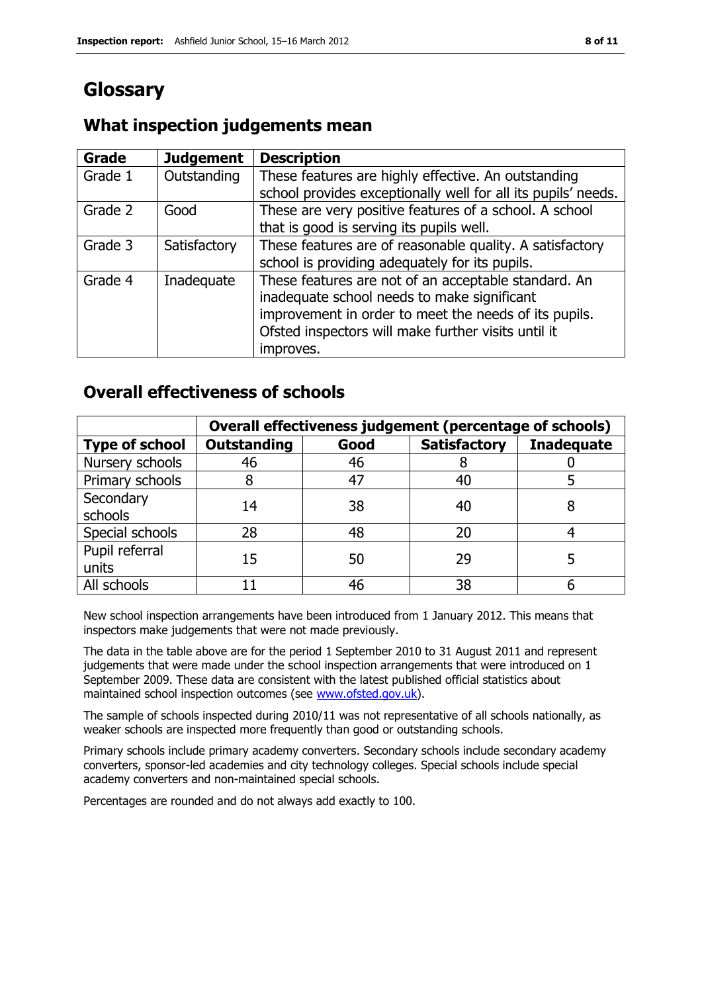## **Glossary**

### **What inspection judgements mean**

| Grade   | <b>Judgement</b> | <b>Description</b>                                            |
|---------|------------------|---------------------------------------------------------------|
| Grade 1 | Outstanding      | These features are highly effective. An outstanding           |
|         |                  | school provides exceptionally well for all its pupils' needs. |
| Grade 2 | Good             | These are very positive features of a school. A school        |
|         |                  | that is good is serving its pupils well.                      |
| Grade 3 | Satisfactory     | These features are of reasonable quality. A satisfactory      |
|         |                  | school is providing adequately for its pupils.                |
| Grade 4 | Inadequate       | These features are not of an acceptable standard. An          |
|         |                  | inadequate school needs to make significant                   |
|         |                  | improvement in order to meet the needs of its pupils.         |
|         |                  | Ofsted inspectors will make further visits until it           |
|         |                  | improves.                                                     |

### **Overall effectiveness of schools**

|                         | Overall effectiveness judgement (percentage of schools) |      |                     |                   |
|-------------------------|---------------------------------------------------------|------|---------------------|-------------------|
| <b>Type of school</b>   | <b>Outstanding</b>                                      | Good | <b>Satisfactory</b> | <b>Inadequate</b> |
| Nursery schools         | 46                                                      | 46   |                     |                   |
| Primary schools         |                                                         | 47   | 40                  |                   |
| Secondary<br>schools    | 14                                                      | 38   | 40                  |                   |
| Special schools         | 28                                                      | 48   | 20                  |                   |
| Pupil referral<br>units | 15                                                      | 50   | 29                  |                   |
| All schools             |                                                         | 46   | 38                  |                   |

New school inspection arrangements have been introduced from 1 January 2012. This means that inspectors make judgements that were not made previously.

The data in the table above are for the period 1 September 2010 to 31 August 2011 and represent judgements that were made under the school inspection arrangements that were introduced on 1 September 2009. These data are consistent with the latest published official statistics about maintained school inspection outcomes (see [www.ofsted.gov.uk\)](http://www.ofsted.gov.uk/).

The sample of schools inspected during 2010/11 was not representative of all schools nationally, as weaker schools are inspected more frequently than good or outstanding schools.

Primary schools include primary academy converters. Secondary schools include secondary academy converters, sponsor-led academies and city technology colleges. Special schools include special academy converters and non-maintained special schools.

Percentages are rounded and do not always add exactly to 100.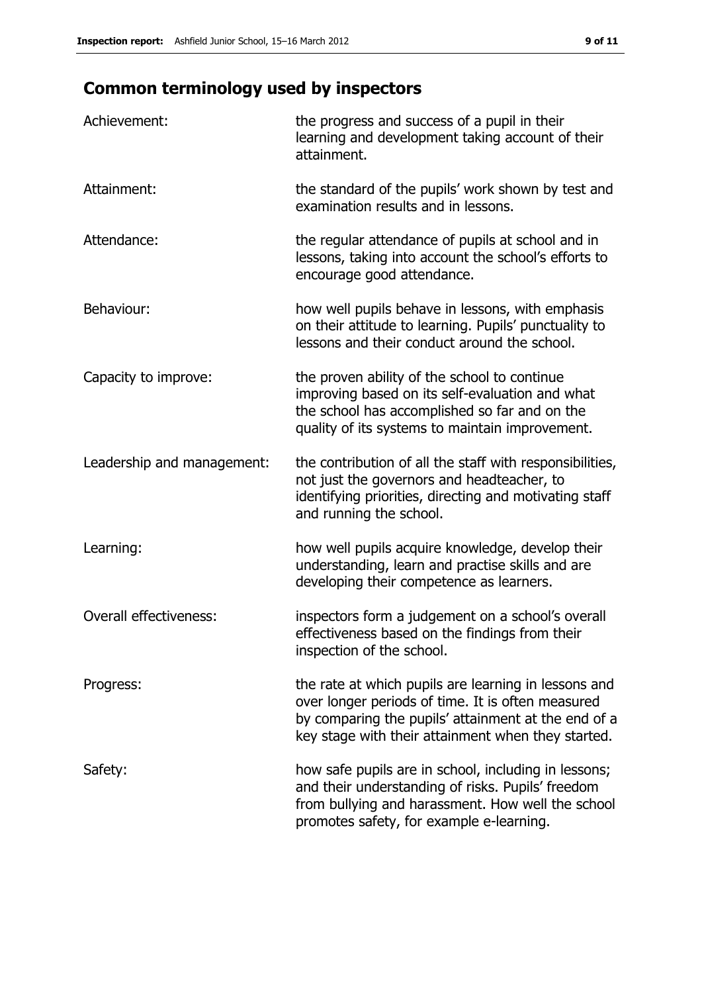## **Common terminology used by inspectors**

| Achievement:               | the progress and success of a pupil in their<br>learning and development taking account of their<br>attainment.                                                                                                        |
|----------------------------|------------------------------------------------------------------------------------------------------------------------------------------------------------------------------------------------------------------------|
| Attainment:                | the standard of the pupils' work shown by test and<br>examination results and in lessons.                                                                                                                              |
| Attendance:                | the regular attendance of pupils at school and in<br>lessons, taking into account the school's efforts to<br>encourage good attendance.                                                                                |
| Behaviour:                 | how well pupils behave in lessons, with emphasis<br>on their attitude to learning. Pupils' punctuality to<br>lessons and their conduct around the school.                                                              |
| Capacity to improve:       | the proven ability of the school to continue<br>improving based on its self-evaluation and what<br>the school has accomplished so far and on the<br>quality of its systems to maintain improvement.                    |
| Leadership and management: | the contribution of all the staff with responsibilities,<br>not just the governors and headteacher, to<br>identifying priorities, directing and motivating staff<br>and running the school.                            |
| Learning:                  | how well pupils acquire knowledge, develop their<br>understanding, learn and practise skills and are<br>developing their competence as learners.                                                                       |
| Overall effectiveness:     | inspectors form a judgement on a school's overall<br>effectiveness based on the findings from their<br>inspection of the school.                                                                                       |
| Progress:                  | the rate at which pupils are learning in lessons and<br>over longer periods of time. It is often measured<br>by comparing the pupils' attainment at the end of a<br>key stage with their attainment when they started. |
| Safety:                    | how safe pupils are in school, including in lessons;<br>and their understanding of risks. Pupils' freedom<br>from bullying and harassment. How well the school<br>promotes safety, for example e-learning.             |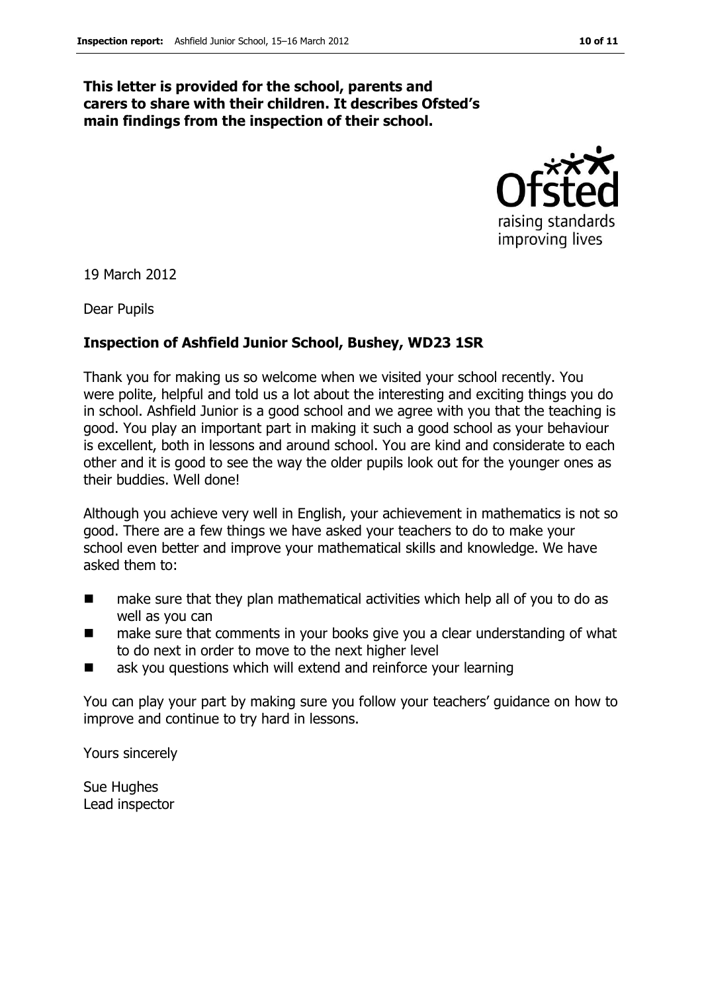### **This letter is provided for the school, parents and carers to share with their children. It describes Ofsted's main findings from the inspection of their school.**



19 March 2012

Dear Pupils

### **Inspection of Ashfield Junior School, Bushey, WD23 1SR**

Thank you for making us so welcome when we visited your school recently. You were polite, helpful and told us a lot about the interesting and exciting things you do in school. Ashfield Junior is a good school and we agree with you that the teaching is good. You play an important part in making it such a good school as your behaviour is excellent, both in lessons and around school. You are kind and considerate to each other and it is good to see the way the older pupils look out for the younger ones as their buddies. Well done!

Although you achieve very well in English, your achievement in mathematics is not so good. There are a few things we have asked your teachers to do to make your school even better and improve your mathematical skills and knowledge. We have asked them to:

- make sure that they plan mathematical activities which help all of you to do as well as you can
- make sure that comments in your books give you a clear understanding of what to do next in order to move to the next higher level
- ask you questions which will extend and reinforce your learning

You can play your part by making sure you follow your teachers' guidance on how to improve and continue to try hard in lessons.

Yours sincerely

Sue Hughes Lead inspector